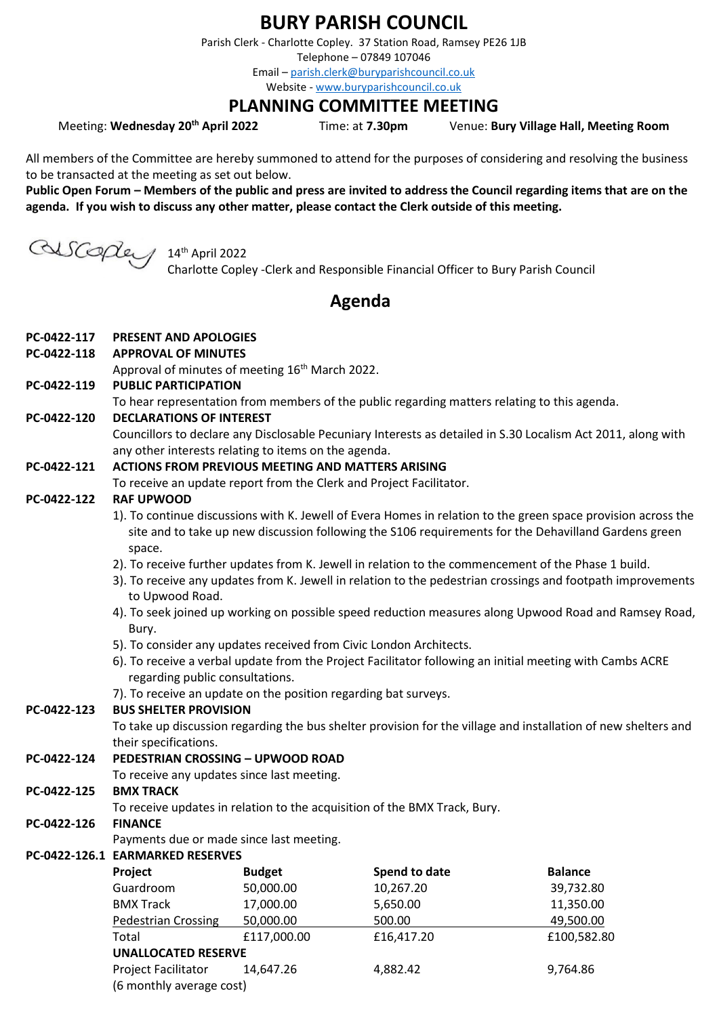# **BURY PARISH COUNCIL**

Parish Clerk - Charlotte Copley. 37 Station Road, Ramsey PE26 1JB

Telephone – 07849 107046

Email – [parish.clerk@buryparishcouncil.co.uk](mailto:parish.clerk@buryparishcouncil.co.uk)

Website - [www.buryparishcouncil.co.uk](http://www.buryparishcouncil.co.uk/)

## **PLANNING COMMITTEE MEETING**

Meeting: **Wednesday 20th April 2022** Time: at **7.30pm** Venue: **Bury Village Hall, Meeting Room**

All members of the Committee are hereby summoned to attend for the purposes of considering and resolving the business to be transacted at the meeting as set out below.

**Public Open Forum – Members of the public and press are invited to address the Council regarding items that are on the agenda. If you wish to discuss any other matter, please contact the Clerk outside of this meeting.**

GUSCOpley 14th April 2022

Charlotte Copley -Clerk and Responsible Financial Officer to Bury Parish Council

# **Agenda**

#### **PC-0422-117 PRESENT AND APOLOGIES**

**PC-0422-118 APPROVAL OF MINUTES**

Approval of minutes of meeting 16<sup>th</sup> March 2022.

**PC-0422-119 PUBLIC PARTICIPATION**

To hear representation from members of the public regarding matters relating to this agenda.

**PC-0422-120 DECLARATIONS OF INTEREST**

Councillors to declare any Disclosable Pecuniary Interests as detailed in S.30 Localism Act 2011, along with any other interests relating to items on the agenda.

#### **PC-0422-121 ACTIONS FROM PREVIOUS MEETING AND MATTERS ARISING**

To receive an update report from the Clerk and Project Facilitator.

#### **PC-0422-122 RAF UPWOOD**

- 1). To continue discussions with K. Jewell of Evera Homes in relation to the green space provision across the site and to take up new discussion following the S106 requirements for the Dehavilland Gardens green space.
- 2). To receive further updates from K. Jewell in relation to the commencement of the Phase 1 build.
- 3). To receive any updates from K. Jewell in relation to the pedestrian crossings and footpath improvements to Upwood Road.
- 4). To seek joined up working on possible speed reduction measures along Upwood Road and Ramsey Road, Bury.
- 5). To consider any updates received from Civic London Architects.
- 6). To receive a verbal update from the Project Facilitator following an initial meeting with Cambs ACRE regarding public consultations.
- 7). To receive an update on the position regarding bat surveys.

### **PC-0422-123 BUS SHELTER PROVISION**

To take up discussion regarding the bus shelter provision for the village and installation of new shelters and their specifications.

### **PC-0422-124 PEDESTRIAN CROSSING – UPWOOD ROAD**

To receive any updates since last meeting.

### **PC-0422-125 BMX TRACK**

To receive updates in relation to the acquisition of the BMX Track, Bury.

### **PC-0422-126 FINANCE**

Payments due or made since last meeting.

### **PC-0422-126.1 EARMARKED RESERVES**

| Project                                                | <b>Budget</b> | Spend to date | <b>Balance</b> |
|--------------------------------------------------------|---------------|---------------|----------------|
| Guardroom                                              | 50,000.00     | 10,267.20     | 39,732.80      |
| <b>BMX Track</b>                                       | 17,000.00     | 5,650.00      | 11,350.00      |
| <b>Pedestrian Crossing</b>                             | 50,000.00     | 500.00        | 49,500.00      |
| Total                                                  | £117,000.00   | £16,417.20    | £100,582.80    |
| <b>UNALLOCATED RESERVE</b>                             |               |               |                |
| <b>Project Facilitator</b><br>(6 monthly average cost) | 14,647.26     | 4,882.42      | 9,764.86       |